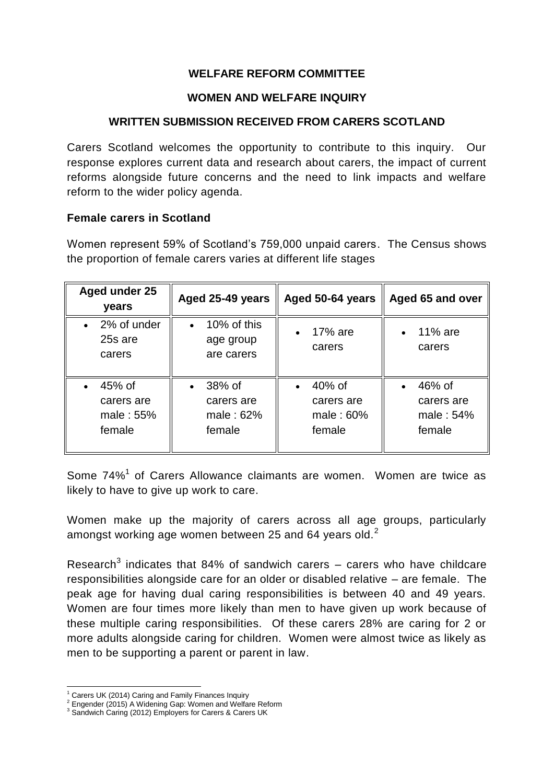## **WELFARE REFORM COMMITTEE**

### **WOMEN AND WELFARE INQUIRY**

### **WRITTEN SUBMISSION RECEIVED FROM CARERS SCOTLAND**

Carers Scotland welcomes the opportunity to contribute to this inquiry. Our response explores current data and research about carers, the impact of current reforms alongside future concerns and the need to link impacts and welfare reform to the wider policy agenda.

#### **Female carers in Scotland**

Women represent 59% of Scotland's 759,000 unpaid carers. The Census shows the proportion of female carers varies at different life stages

| Aged under 25<br>years                        | Aged 25-49 years                                           | Aged 50-64 years                            | Aged 65 and over                                         |
|-----------------------------------------------|------------------------------------------------------------|---------------------------------------------|----------------------------------------------------------|
| 2% of under<br>$\bullet$<br>25s are<br>carers | 10% of this<br>$\bullet$<br>age group<br>are carers        | 17% are<br>carers                           | 11% are<br>$\bullet$<br>carers                           |
| 45% of<br>carers are<br>male: 55%<br>female   | 38% of<br>$\bullet$<br>carers are<br>male: $62%$<br>female | 40% of<br>carers are<br>male: 60%<br>female | 46% of<br>$\bullet$<br>carers are<br>male: 54%<br>female |

Some 74%<sup>1</sup> of Carers Allowance claimants are women. Women are twice as likely to have to give up work to care.

Women make up the majority of carers across all age groups, particularly amongst working age women between 25 and 64 years old.<sup>2</sup>

Research<sup>3</sup> indicates that 84% of sandwich carers  $-$  carers who have childcare responsibilities alongside care for an older or disabled relative – are female. The peak age for having dual caring responsibilities is between 40 and 49 years. Women are four times more likely than men to have given up work because of these multiple caring responsibilities. Of these carers 28% are caring for 2 or more adults alongside caring for children. Women were almost twice as likely as men to be supporting a parent or parent in law.

-

 $1$  Carers UK (2014) Caring and Family Finances Inquiry

<sup>2</sup> Engender (2015) A Widening Gap: Women and Welfare Reform

<sup>&</sup>lt;sup>3</sup> Sandwich Caring (2012) Employers for Carers & Carers UK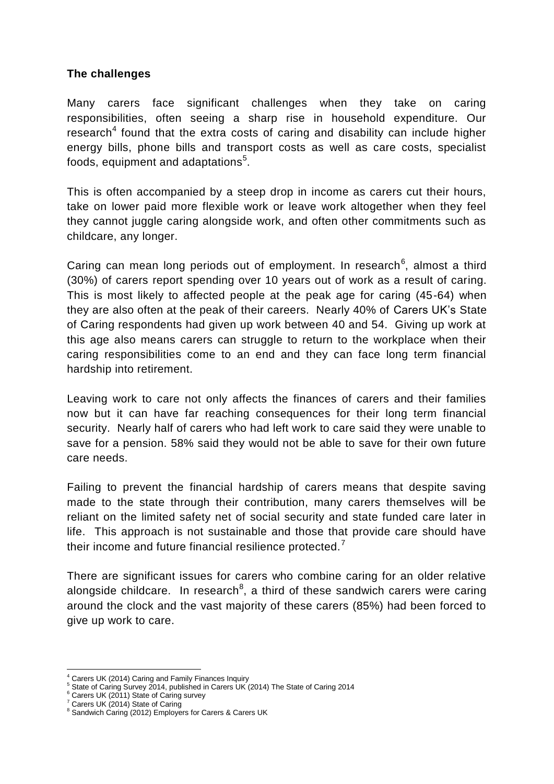### **The challenges**

Many carers face significant challenges when they take on caring responsibilities, often seeing a sharp rise in household expenditure. Our research<sup>4</sup> found that the extra costs of caring and disability can include higher energy bills, phone bills and transport costs as well as care costs, specialist foods, equipment and adaptations<sup>5</sup>.

This is often accompanied by a steep drop in income as carers cut their hours, take on lower paid more flexible work or leave work altogether when they feel they cannot juggle caring alongside work, and often other commitments such as childcare, any longer.

Caring can mean long periods out of employment. In research<sup>6</sup>, almost a third (30%) of carers report spending over 10 years out of work as a result of caring. This is most likely to affected people at the peak age for caring (45-64) when they are also often at the peak of their careers. Nearly 40% of Carers UK's State of Caring respondents had given up work between 40 and 54. Giving up work at this age also means carers can struggle to return to the workplace when their caring responsibilities come to an end and they can face long term financial hardship into retirement.

Leaving work to care not only affects the finances of carers and their families now but it can have far reaching consequences for their long term financial security. Nearly half of carers who had left work to care said they were unable to save for a pension. 58% said they would not be able to save for their own future care needs.

Failing to prevent the financial hardship of carers means that despite saving made to the state through their contribution, many carers themselves will be reliant on the limited safety net of social security and state funded care later in life. This approach is not sustainable and those that provide care should have their income and future financial resilience protected.<sup>7</sup>

There are significant issues for carers who combine caring for an older relative alongside childcare. In research<sup>8</sup>, a third of these sandwich carers were caring around the clock and the vast majority of these carers (85%) had been forced to give up work to care.

-

Carers UK (2014) Caring and Family Finances Inquiry

<sup>5</sup> State of Caring Survey 2014, published in Carers UK (2014) The State of Caring 2014

Carers UK (2011) State of Caring survey

<sup>7</sup> Carers UK (2014) State of Caring

<sup>8</sup> Sandwich Caring (2012) Employers for Carers & Carers UK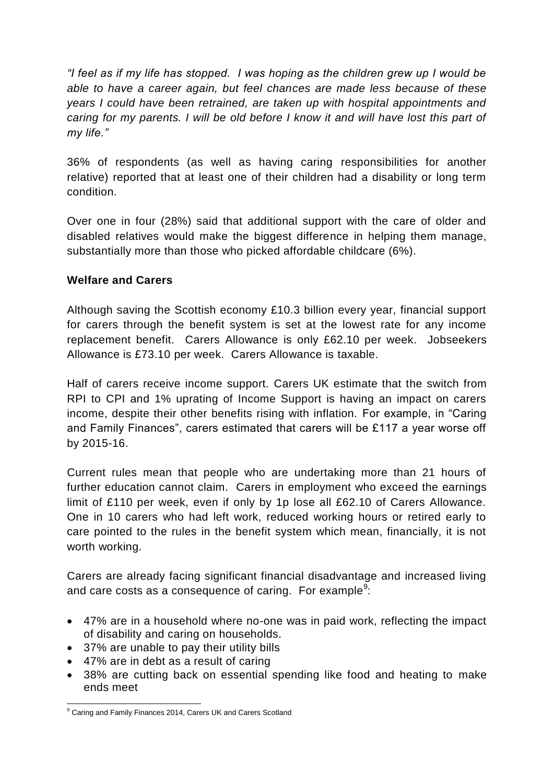*"I feel as if my life has stopped. I was hoping as the children grew up I would be able to have a career again, but feel chances are made less because of these years I could have been retrained, are taken up with hospital appointments and caring for my parents. I will be old before I know it and will have lost this part of my life."*

36% of respondents (as well as having caring responsibilities for another relative) reported that at least one of their children had a disability or long term condition.

Over one in four (28%) said that additional support with the care of older and disabled relatives would make the biggest difference in helping them manage, substantially more than those who picked affordable childcare (6%).

# **Welfare and Carers**

Although saving the Scottish economy £10.3 billion every year, financial support for carers through the benefit system is set at the lowest rate for any income replacement benefit. Carers Allowance is only £62.10 per week. Jobseekers Allowance is £73.10 per week. Carers Allowance is taxable.

Half of carers receive income support. Carers UK estimate that the switch from RPI to CPI and 1% uprating of Income Support is having an impact on carers income, despite their other benefits rising with inflation. For example, in "Caring and Family Finances", carers estimated that carers will be £117 a year worse off by 2015-16.

Current rules mean that people who are undertaking more than 21 hours of further education cannot claim. Carers in employment who exceed the earnings limit of £110 per week, even if only by 1p lose all £62.10 of Carers Allowance. One in 10 carers who had left work, reduced working hours or retired early to care pointed to the rules in the benefit system which mean, financially, it is not worth working.

Carers are already facing significant financial disadvantage and increased living and care costs as a consequence of caring. For example $9$ :

- 47% are in a household where no-one was in paid work, reflecting the impact of disability and caring on households.
- 37% are unable to pay their utility bills
- 47% are in debt as a result of caring
- 38% are cutting back on essential spending like food and heating to make ends meet

<sup>-</sup><sup>9</sup> Caring and Family Finances 2014, Carers UK and Carers Scotland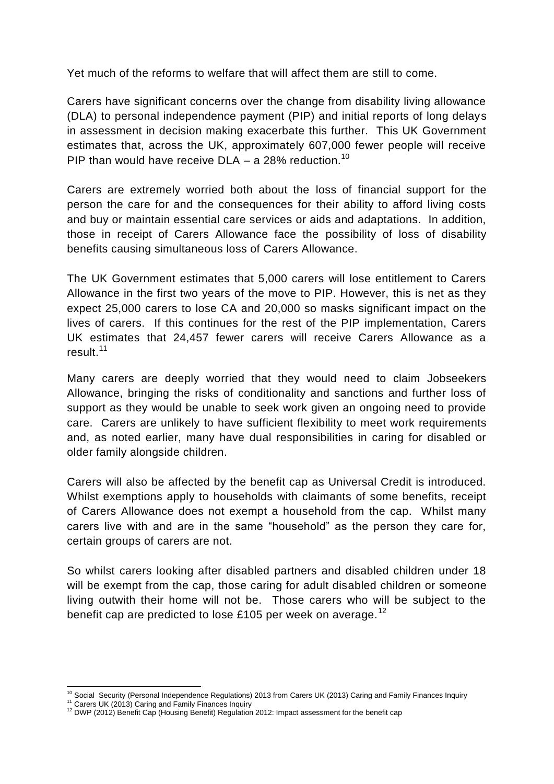Yet much of the reforms to welfare that will affect them are still to come.

Carers have significant concerns over the change from disability living allowance (DLA) to personal independence payment (PIP) and initial reports of long delays in assessment in decision making exacerbate this further. This UK Government estimates that, across the UK, approximately 607,000 fewer people will receive PIP than would have receive DLA – a 28% reduction.<sup>10</sup>

Carers are extremely worried both about the loss of financial support for the person the care for and the consequences for their ability to afford living costs and buy or maintain essential care services or aids and adaptations. In addition, those in receipt of Carers Allowance face the possibility of loss of disability benefits causing simultaneous loss of Carers Allowance.

The UK Government estimates that 5,000 carers will lose entitlement to Carers Allowance in the first two years of the move to PIP. However, this is net as they expect 25,000 carers to lose CA and 20,000 so masks significant impact on the lives of carers. If this continues for the rest of the PIP implementation, Carers UK estimates that 24,457 fewer carers will receive Carers Allowance as a result.<sup>11</sup>

Many carers are deeply worried that they would need to claim Jobseekers Allowance, bringing the risks of conditionality and sanctions and further loss of support as they would be unable to seek work given an ongoing need to provide care. Carers are unlikely to have sufficient flexibility to meet work requirements and, as noted earlier, many have dual responsibilities in caring for disabled or older family alongside children.

Carers will also be affected by the benefit cap as Universal Credit is introduced. Whilst exemptions apply to households with claimants of some benefits, receipt of Carers Allowance does not exempt a household from the cap. Whilst many carers live with and are in the same "household" as the person they care for, certain groups of carers are not.

So whilst carers looking after disabled partners and disabled children under 18 will be exempt from the cap, those caring for adult disabled children or someone living outwith their home will not be. Those carers who will be subject to the benefit cap are predicted to lose £105 per week on average.<sup>12</sup>

-

 $10$  Social Security (Personal Independence Regulations) 2013 from Carers UK (2013) Caring and Family Finances Inquiry

<sup>&</sup>lt;sup>11</sup> Carers UK (2013) Caring and Family Finances Inquiry

<sup>&</sup>lt;sup>12</sup> DWP (2012) Benefit Cap (Housing Benefit) Regulation 2012: Impact assessment for the benefit cap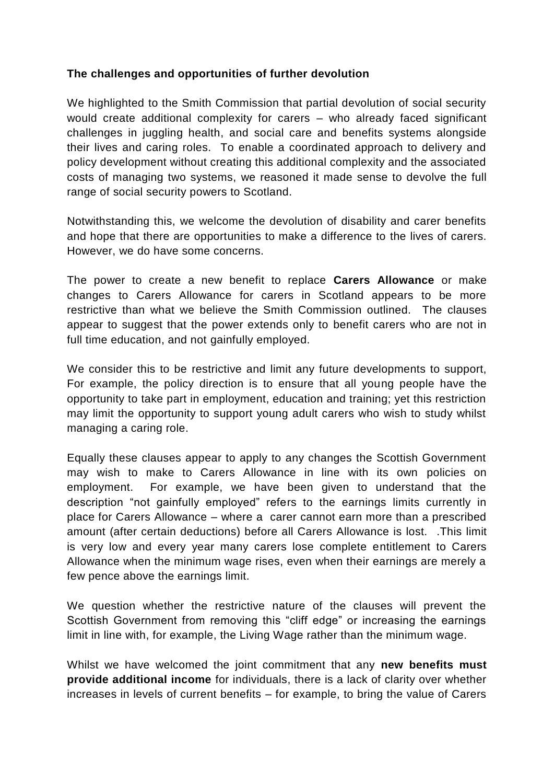## **The challenges and opportunities of further devolution**

We highlighted to the Smith Commission that partial devolution of social security would create additional complexity for carers – who already faced significant challenges in juggling health, and social care and benefits systems alongside their lives and caring roles. To enable a coordinated approach to delivery and policy development without creating this additional complexity and the associated costs of managing two systems, we reasoned it made sense to devolve the full range of social security powers to Scotland.

Notwithstanding this, we welcome the devolution of disability and carer benefits and hope that there are opportunities to make a difference to the lives of carers. However, we do have some concerns.

The power to create a new benefit to replace **Carers Allowance** or make changes to Carers Allowance for carers in Scotland appears to be more restrictive than what we believe the Smith Commission outlined. The clauses appear to suggest that the power extends only to benefit carers who are not in full time education, and not gainfully employed.

We consider this to be restrictive and limit any future developments to support, For example, the policy direction is to ensure that all young people have the opportunity to take part in employment, education and training; yet this restriction may limit the opportunity to support young adult carers who wish to study whilst managing a caring role.

Equally these clauses appear to apply to any changes the Scottish Government may wish to make to Carers Allowance in line with its own policies on employment. For example, we have been given to understand that the description "not gainfully employed" refers to the earnings limits currently in place for Carers Allowance – where a carer cannot earn more than a prescribed amount (after certain deductions) before all Carers Allowance is lost. .This limit is very low and every year many carers lose complete entitlement to Carers Allowance when the minimum wage rises, even when their earnings are merely a few pence above the earnings limit.

We question whether the restrictive nature of the clauses will prevent the Scottish Government from removing this "cliff edge" or increasing the earnings limit in line with, for example, the Living Wage rather than the minimum wage.

Whilst we have welcomed the joint commitment that any **new benefits must provide additional income** for individuals, there is a lack of clarity over whether increases in levels of current benefits – for example, to bring the value of Carers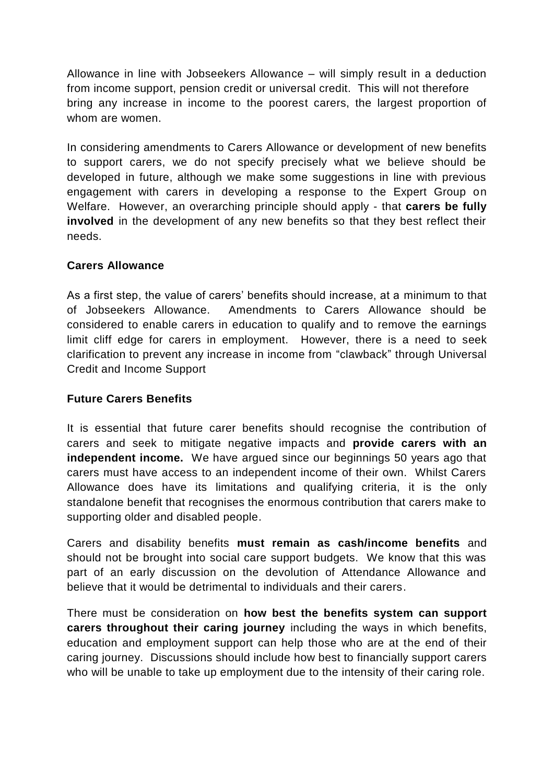Allowance in line with Jobseekers Allowance – will simply result in a deduction from income support, pension credit or universal credit. This will not therefore bring any increase in income to the poorest carers, the largest proportion of whom are women.

In considering amendments to Carers Allowance or development of new benefits to support carers, we do not specify precisely what we believe should be developed in future, although we make some suggestions in line with previous engagement with carers in developing a response to the Expert Group on Welfare. However, an overarching principle should apply - that **carers be fully involved** in the development of any new benefits so that they best reflect their needs.

## **Carers Allowance**

As a first step, the value of carers' benefits should increase, at a minimum to that of Jobseekers Allowance. Amendments to Carers Allowance should be considered to enable carers in education to qualify and to remove the earnings limit cliff edge for carers in employment. However, there is a need to seek clarification to prevent any increase in income from "clawback" through Universal Credit and Income Support

# **Future Carers Benefits**

It is essential that future carer benefits should recognise the contribution of carers and seek to mitigate negative impacts and **provide carers with an independent income.** We have argued since our beginnings 50 years ago that carers must have access to an independent income of their own. Whilst Carers Allowance does have its limitations and qualifying criteria, it is the only standalone benefit that recognises the enormous contribution that carers make to supporting older and disabled people.

Carers and disability benefits **must remain as cash/income benefits** and should not be brought into social care support budgets. We know that this was part of an early discussion on the devolution of Attendance Allowance and believe that it would be detrimental to individuals and their carers.

There must be consideration on **how best the benefits system can support carers throughout their caring journey** including the ways in which benefits, education and employment support can help those who are at the end of their caring journey. Discussions should include how best to financially support carers who will be unable to take up employment due to the intensity of their caring role.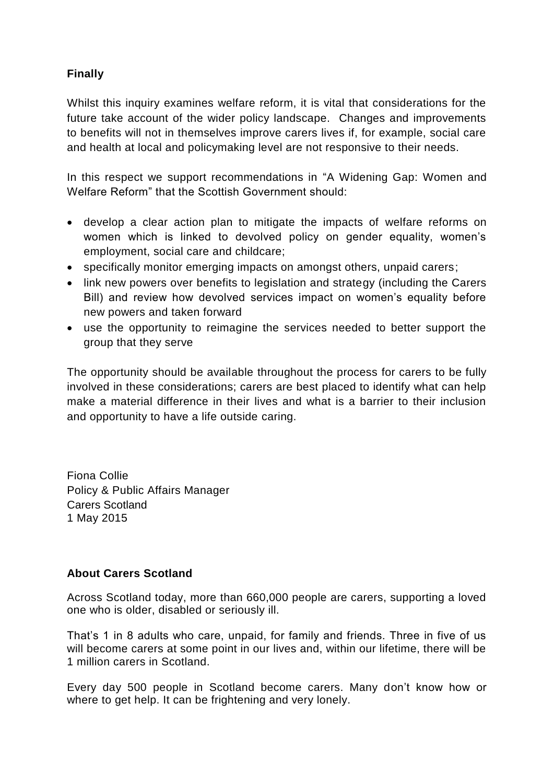# **Finally**

Whilst this inquiry examines welfare reform, it is vital that considerations for the future take account of the wider policy landscape. Changes and improvements to benefits will not in themselves improve carers lives if, for example, social care and health at local and policymaking level are not responsive to their needs.

In this respect we support recommendations in "A Widening Gap: Women and Welfare Reform" that the Scottish Government should:

- develop a clear action plan to mitigate the impacts of welfare reforms on women which is linked to devolved policy on gender equality, women's employment, social care and childcare;
- specifically monitor emerging impacts on amongst others, unpaid carers;
- link new powers over benefits to legislation and strategy (including the Carers Bill) and review how devolved services impact on women's equality before new powers and taken forward
- use the opportunity to reimagine the services needed to better support the group that they serve

The opportunity should be available throughout the process for carers to be fully involved in these considerations; carers are best placed to identify what can help make a material difference in their lives and what is a barrier to their inclusion and opportunity to have a life outside caring.

Fiona Collie Policy & Public Affairs Manager Carers Scotland 1 May 2015

## **About Carers Scotland**

Across Scotland today, more than 660,000 people are carers, supporting a loved one who is older, disabled or seriously ill.

That's 1 in 8 adults who care, unpaid, for family and friends. Three in five of us will become carers at some point in our lives and, within our lifetime, there will be 1 million carers in Scotland.

Every day 500 people in Scotland become carers. Many don't know how or where to get help. It can be frightening and very lonely.